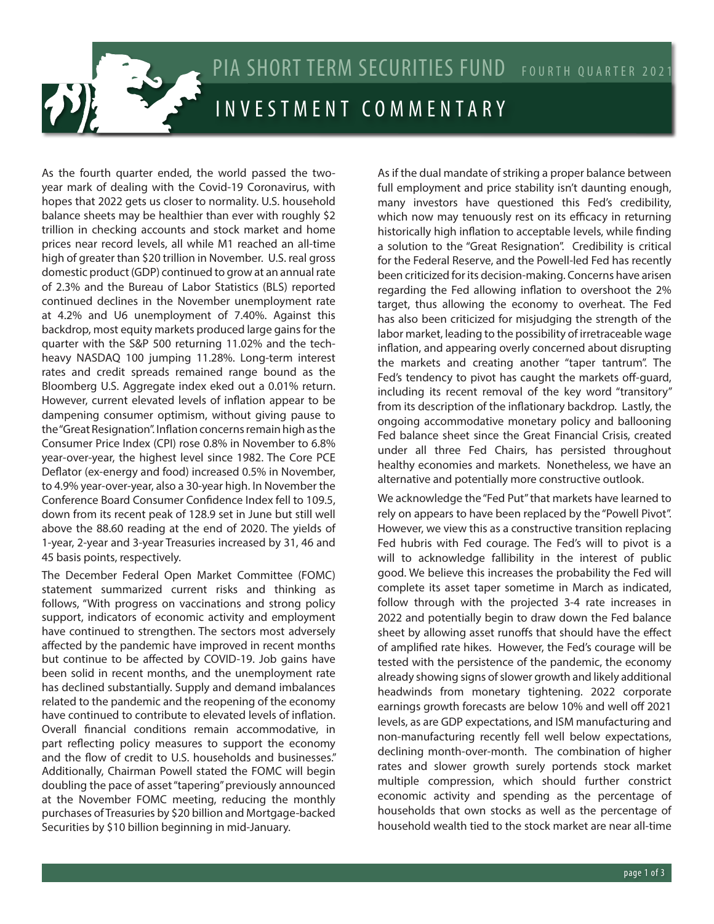

As the fourth quarter ended, the world passed the twoyear mark of dealing with the Covid-19 Coronavirus, with hopes that 2022 gets us closer to normality. U.S. household balance sheets may be healthier than ever with roughly \$2 trillion in checking accounts and stock market and home prices near record levels, all while M1 reached an all-time high of greater than \$20 trillion in November. U.S. real gross domestic product (GDP) continued to grow at an annual rate of 2.3% and the Bureau of Labor Statistics (BLS) reported continued declines in the November unemployment rate at 4.2% and U6 unemployment of 7.40%. Against this backdrop, most equity markets produced large gains for the quarter with the S&P 500 returning 11.02% and the techheavy NASDAQ 100 jumping 11.28%. Long-term interest rates and credit spreads remained range bound as the Bloomberg U.S. Aggregate index eked out a 0.01% return. However, current elevated levels of inflation appear to be dampening consumer optimism, without giving pause to the "Great Resignation". Inflation concerns remain high as the Consumer Price Index (CPI) rose 0.8% in November to 6.8% year-over-year, the highest level since 1982. The Core PCE Deflator (ex-energy and food) increased 0.5% in November, to 4.9% year-over-year, also a 30-year high. In November the Conference Board Consumer Confidence Index fell to 109.5, down from its recent peak of 128.9 set in June but still well above the 88.60 reading at the end of 2020. The yields of 1-year, 2-year and 3-year Treasuries increased by 31, 46 and 45 basis points, respectively.

The December Federal Open Market Committee (FOMC) statement summarized current risks and thinking as follows, "With progress on vaccinations and strong policy support, indicators of economic activity and employment have continued to strengthen. The sectors most adversely affected by the pandemic have improved in recent months but continue to be affected by COVID-19. Job gains have been solid in recent months, and the unemployment rate has declined substantially. Supply and demand imbalances related to the pandemic and the reopening of the economy have continued to contribute to elevated levels of inflation. Overall financial conditions remain accommodative, in part reflecting policy measures to support the economy and the flow of credit to U.S. households and businesses." Additionally, Chairman Powell stated the FOMC will begin doubling the pace of asset "tapering" previously announced at the November FOMC meeting, reducing the monthly purchases of Treasuries by \$20 billion and Mortgage-backed Securities by \$10 billion beginning in mid-January.

As if the dual mandate of striking a proper balance between full employment and price stability isn't daunting enough, many investors have questioned this Fed's credibility, which now may tenuously rest on its efficacy in returning historically high inflation to acceptable levels, while finding a solution to the "Great Resignation". Credibility is critical for the Federal Reserve, and the Powell-led Fed has recently been criticized for its decision-making. Concerns have arisen regarding the Fed allowing inflation to overshoot the 2% target, thus allowing the economy to overheat. The Fed has also been criticized for misjudging the strength of the labor market, leading to the possibility of irretraceable wage inflation, and appearing overly concerned about disrupting the markets and creating another "taper tantrum". The Fed's tendency to pivot has caught the markets off-guard, including its recent removal of the key word "transitory" from its description of the inflationary backdrop. Lastly, the ongoing accommodative monetary policy and ballooning Fed balance sheet since the Great Financial Crisis, created under all three Fed Chairs, has persisted throughout healthy economies and markets. Nonetheless, we have an alternative and potentially more constructive outlook.

We acknowledge the "Fed Put" that markets have learned to rely on appears to have been replaced by the "Powell Pivot". However, we view this as a constructive transition replacing Fed hubris with Fed courage. The Fed's will to pivot is a will to acknowledge fallibility in the interest of public good. We believe this increases the probability the Fed will complete its asset taper sometime in March as indicated, follow through with the projected 3-4 rate increases in 2022 and potentially begin to draw down the Fed balance sheet by allowing asset runoffs that should have the effect of amplified rate hikes. However, the Fed's courage will be tested with the persistence of the pandemic, the economy already showing signs of slower growth and likely additional headwinds from monetary tightening. 2022 corporate earnings growth forecasts are below 10% and well off 2021 levels, as are GDP expectations, and ISM manufacturing and non-manufacturing recently fell well below expectations, declining month-over-month. The combination of higher rates and slower growth surely portends stock market multiple compression, which should further constrict economic activity and spending as the percentage of households that own stocks as well as the percentage of household wealth tied to the stock market are near all-time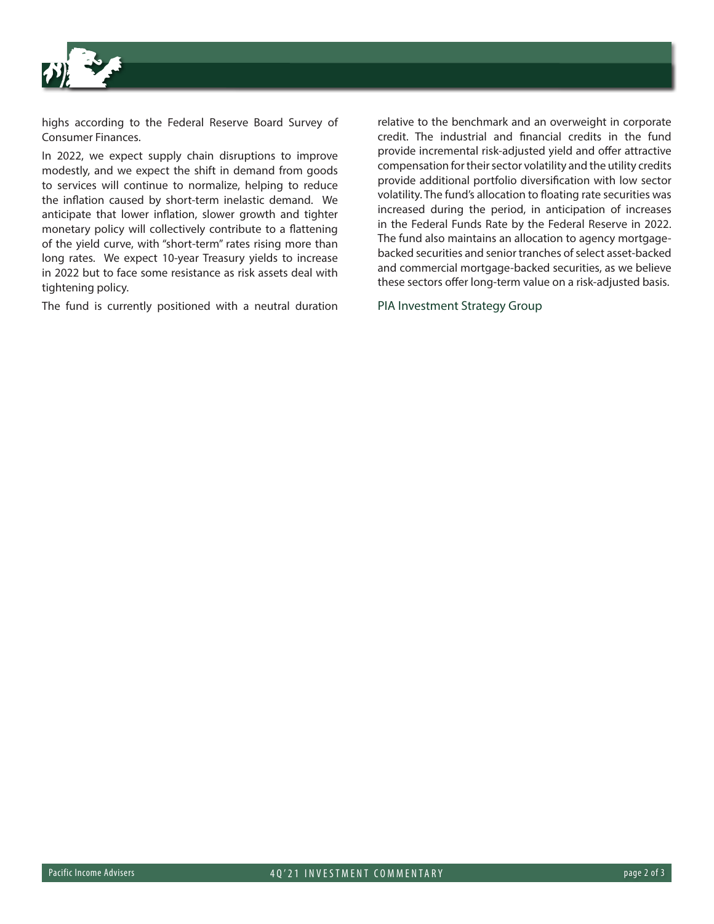

highs according to the Federal Reserve Board Survey of Consumer Finances.

In 2022, we expect supply chain disruptions to improve modestly, and we expect the shift in demand from goods to services will continue to normalize, helping to reduce the inflation caused by short-term inelastic demand. We anticipate that lower inflation, slower growth and tighter monetary policy will collectively contribute to a flattening of the yield curve, with "short-term" rates rising more than long rates. We expect 10-year Treasury yields to increase in 2022 but to face some resistance as risk assets deal with tightening policy.

The fund is currently positioned with a neutral duration

relative to the benchmark and an overweight in corporate credit. The industrial and financial credits in the fund provide incremental risk-adjusted yield and offer attractive compensation for their sector volatility and the utility credits provide additional portfolio diversification with low sector volatility. The fund's allocation to floating rate securities was increased during the period, in anticipation of increases in the Federal Funds Rate by the Federal Reserve in 2022. The fund also maintains an allocation to agency mortgagebacked securities and senior tranches of select asset-backed and commercial mortgage-backed securities, as we believe these sectors offer long-term value on a risk-adjusted basis.

PIA Investment Strategy Group